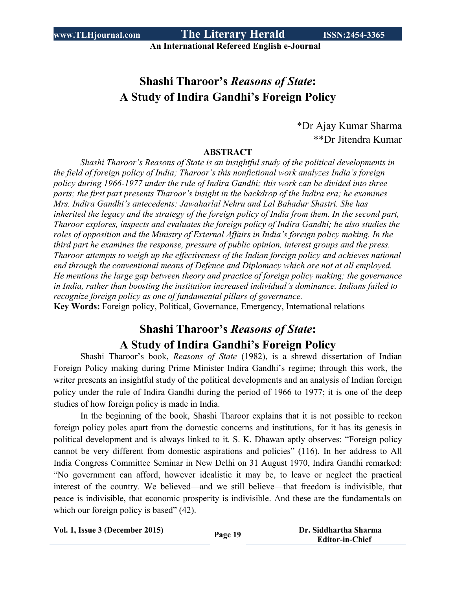**An International Refereed English e-Journal**

# **Shashi Tharoor's** *Reasons of State***: A Study of Indira Gandhi's Foreign Policy**

\*Dr Ajay Kumar Sharma \*\*Dr Jitendra Kumar

#### **ABSTRACT**

*Shashi Tharoor's Reasons of State is an insightful study of the political developments in the field of foreign policy of India; Tharoor's this nonfictional work analyzes India's foreign policy during 1966-1977 under the rule of Indira Gandhi; this work can be divided into three parts; the first part presents Tharoor's insight in the backdrop of the Indira era; he examines Mrs. Indira Gandhi's antecedents: Jawaharlal Nehru and Lal Bahadur Shastri. She has* inherited the legacy and the strategy of the foreign policy of India from them. In the second part, *Tharoor explores, inspects and evaluates the foreign policy of Indira Gandhi; he also studies the roles of opposition and the Ministry of External Affairs in India's foreign policy making. In the third part he examines the response, pressure of public opinion, interest groups and the press. Tharoor attempts to weigh up the effectiveness of the Indian foreign policy and achieves national end through the conventional means of Defence and Diplomacy which are not at all employed. He mentions the large gap between theory and practice of foreign policy making; the governance in India, rather than boosting the institution increased individual's dominance. Indians failed to recognize foreign policy as one of fundamental pillars of governance.*

**Key Words:** Foreign policy, Political, Governance, Emergency, International relations

# **Shashi Tharoor's** *Reasons of State***: A Study of Indira Gandhi's Foreign Policy**

Shashi Tharoor's book, *Reasons of State* (1982), is a shrewd dissertation of Indian Foreign Policy making during Prime Minister Indira Gandhi's regime; through this work, the writer presents an insightful study of the political developments and an analysis of Indian foreign policy under the rule of Indira Gandhi during the period of 1966 to 1977; it is one of the deep studies of how foreign policy is made in India.

In the beginning of the book, Shashi Tharoor explains that it is not possible to reckon foreign policy poles apart from the domestic concerns and institutions, for it has its genesis in political development and is always linked to it. S. K. Dhawan aptly observes: "Foreign policy cannot be very different from domestic aspirations and policies" (116). In her address to All India Congress Committee Seminar in New Delhi on 31 August 1970, Indira Gandhi remarked: "No government can afford, however idealistic it may be, to leave or neglect the practical interest of the country. We believed—and we still believe—that freedom is indivisible, that peace is indivisible, that economic prosperity is indivisible. And these are the fundamentals on which our foreign policy is based" (42).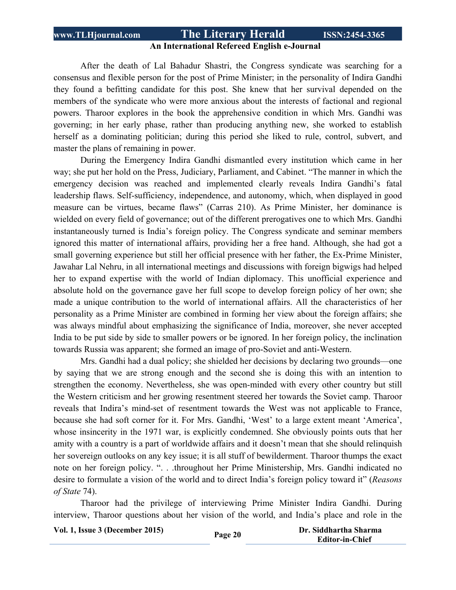#### **An International Refereed English e-Journal**

After the death of Lal Bahadur Shastri, the Congress syndicate was searching for a consensus and flexible person for the post of Prime Minister; in the personality of Indira Gandhi they found a befitting candidate for this post. She knew that her survival depended on the members of the syndicate who were more anxious about the interests of factional and regional powers. Tharoor explores in the book the apprehensive condition in which Mrs. Gandhi was governing; in her early phase, rather than producing anything new, she worked to establish herself as a dominating politician; during this period she liked to rule, control, subvert, and master the plans of remaining in power.

During the Emergency Indira Gandhi dismantled every institution which came in her way; she put her hold on the Press, Judiciary, Parliament, and Cabinet. "The manner in which the emergency decision was reached and implemented clearly reveals Indira Gandhi's fatal leadership flaws. Self-sufficiency, independence, and autonomy, which, when displayed in good measure can be virtues, became flaws" (Carras 210). As Prime Minister, her dominance is wielded on every field of governance; out of the different prerogatives one to which Mrs. Gandhi instantaneously turned is India's foreign policy. The Congress syndicate and seminar members ignored this matter of international affairs, providing her a free hand. Although, she had got a small governing experience but still her official presence with her father, the Ex-Prime Minister, Jawahar Lal Nehru, in all international meetings and discussions with foreign bigwigs had helped her to expand expertise with the world of Indian diplomacy. This unofficial experience and absolute hold on the governance gave her full scope to develop foreign policy of her own; she made a unique contribution to the world of international affairs. All the characteristics of her personality as a Prime Minister are combined in forming her view about the foreign affairs; she was always mindful about emphasizing the significance of India, moreover, she never accepted India to be put side by side to smaller powers or be ignored. In her foreign policy, the inclination towards Russia was apparent; she formed an image of pro-Soviet and anti-Western.

Mrs. Gandhi had a dual policy; she shielded her decisions by declaring two grounds—one by saying that we are strong enough and the second she is doing this with an intention to strengthen the economy. Nevertheless, she was open-minded with every other country but still the Western criticism and her growing resentment steered her towards the Soviet camp. Tharoor reveals that Indira's mind-set of resentment towards the West was not applicable to France, because she had soft corner for it. For Mrs. Gandhi, 'West' to a large extent meant 'America', whose insincerity in the 1971 war, is explicitly condemned. She obviously points outs that her amity with a country is a part of worldwide affairs and it doesn't mean that she should relinquish her sovereign outlooks on any key issue; it is all stuff of bewilderment. Tharoor thumps the exact note on her foreign policy. ". . .throughout her Prime Ministership, Mrs. Gandhi indicated no desire to formulate a vision of the world and to direct India's foreign policy toward it" (*Reasons of State* 74).

Tharoor had the privilege of interviewing Prime Minister Indira Gandhi. During interview, Tharoor questions about her vision of the world, and India's place and role in the

**Vol. 1, Issue <sup>3</sup> (December 2015) Page <sup>20</sup> Dr. Siddhartha Sharma**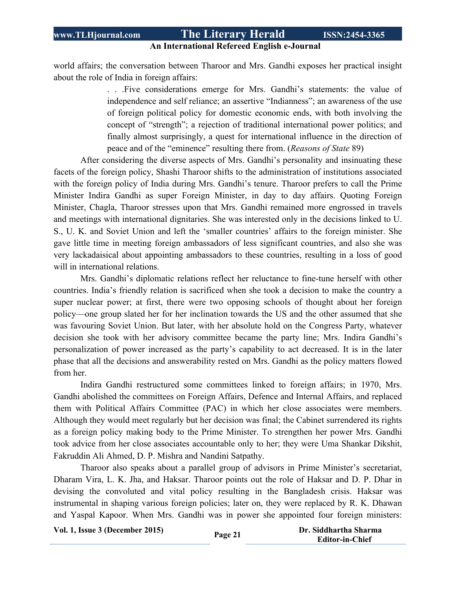## **An International Refereed English e-Journal**

world affairs; the conversation between Tharoor and Mrs. Gandhi exposes her practical insight about the role of India in foreign affairs:

> . . .Five considerations emerge for Mrs. Gandhi's statements: the value of independence and self reliance; an assertive "Indianness"; an awareness of the use of foreign political policy for domestic economic ends, with both involving the concept of "strength"; a rejection of traditional international power politics; and finally almost surprisingly, a quest for international influence in the direction of peace and of the "eminence" resulting there from. (*Reasons of State* 89)

After considering the diverse aspects of Mrs. Gandhi's personality and insinuating these facets of the foreign policy, Shashi Tharoor shifts to the administration of institutions associated with the foreign policy of India during Mrs. Gandhi's tenure. Tharoor prefers to call the Prime Minister Indira Gandhi as super Foreign Minister, in day to day affairs. Quoting Foreign Minister, Chagla, Tharoor stresses upon that Mrs. Gandhi remained more engrossed in travels and meetings with international dignitaries. She was interested only in the decisions linked to U. S., U. K. and Soviet Union and left the 'smaller countries' affairs to the foreign minister. She gave little time in meeting foreign ambassadors of less significant countries, and also she was very lackadaisical about appointing ambassadors to these countries, resulting in a loss of good will in international relations.

Mrs. Gandhi's diplomatic relations reflect her reluctance to fine-tune herself with other countries. India's friendly relation is sacrificed when she took a decision to make the country a super nuclear power; at first, there were two opposing schools of thought about her foreign policy—one group slated her for her inclination towards the US and the other assumed that she was favouring Soviet Union. But later, with her absolute hold on the Congress Party, whatever decision she took with her advisory committee became the party line; Mrs. Indira Gandhi's personalization of power increased as the party's capability to act decreased. It is in the later phase that all the decisions and answerability rested on Mrs. Gandhi as the policy matters flowed from her.

Indira Gandhi restructured some committees linked to foreign affairs; in 1970, Mrs. Gandhi abolished the committees on Foreign Affairs, Defence and Internal Affairs, and replaced them with Political Affairs Committee (PAC) in which her close associates were members. Although they would meet regularly but her decision was final; the Cabinet surrendered its rights as a foreign policy making body to the Prime Minister. To strengthen her power Mrs. Gandhi took advice from her close associates accountable only to her; they were Uma Shankar Dikshit, Fakruddin Ali Ahmed, D. P. Mishra and Nandini Satpathy.

Tharoor also speaks about a parallel group of advisors in Prime Minister's secretariat, Dharam Vira, L. K. Jha, and Haksar. Tharoor points out the role of Haksar and D. P. Dhar in devising the convoluted and vital policy resulting in the Bangladesh crisis. Haksar was instrumental in shaping various foreign policies; later on, they were replaced by R. K. Dhawan and Yaspal Kapoor. When Mrs. Gandhi was in power she appointed four foreign ministers:

**Vol. 1, Issue <sup>3</sup> (December 2015) Page <sup>21</sup> Dr. Siddhartha Sharma**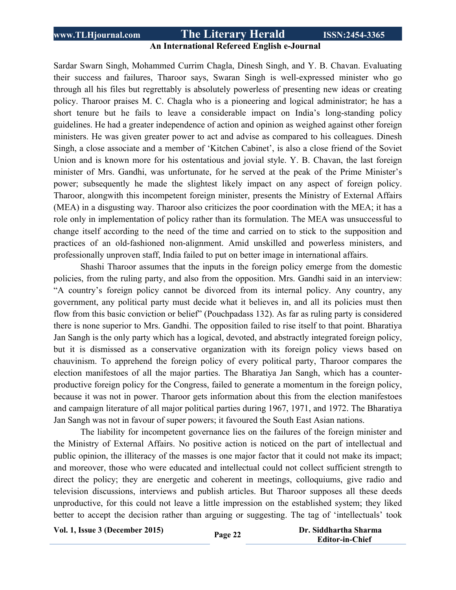#### **An International Refereed English e-Journal**

Sardar Swarn Singh, Mohammed Currim Chagla, Dinesh Singh, and Y. B. Chavan. Evaluating their success and failures, Tharoor says, Swaran Singh is well-expressed minister who go through all his files but regrettably is absolutely powerless of presenting new ideas or creating policy. Tharoor praises M. C. Chagla who is a pioneering and logical administrator; he has a short tenure but he fails to leave a considerable impact on India's long-standing policy guidelines. He had a greater independence of action and opinion as weighed against other foreign ministers. He was given greater power to act and advise as compared to his colleagues. Dinesh Singh, a close associate and a member of 'Kitchen Cabinet', is also a close friend of the Soviet Union and is known more for his ostentatious and jovial style. Y. B. Chavan, the last foreign minister of Mrs. Gandhi, was unfortunate, for he served at the peak of the Prime Minister's power; subsequently he made the slightest likely impact on any aspect of foreign policy. Tharoor, alongwith this incompetent foreign minister, presents the Ministry of External Affairs (MEA) in a disgusting way. Tharoor also criticizes the poor coordination with the MEA; it has a role only in implementation of policy rather than its formulation. The MEA was unsuccessful to change itself according to the need of the time and carried on to stick to the supposition and practices of an old-fashioned non-alignment. Amid unskilled and powerless ministers, and professionally unproven staff, India failed to put on better image in international affairs.

Shashi Tharoor assumes that the inputs in the foreign policy emerge from the domestic policies, from the ruling party, and also from the opposition. Mrs. Gandhi said in an interview: "A country's foreign policy cannot be divorced from its internal policy. Any country, any government, any political party must decide what it believes in, and all its policies must then flow from this basic conviction or belief" (Pouchpadass 132). As far as ruling party is considered there is none superior to Mrs. Gandhi. The opposition failed to rise itself to that point. Bharatiya Jan Sangh is the only party which has a logical, devoted, and abstractly integrated foreign policy, but it is dismissed as a conservative organization with its foreign policy views based on chauvinism. To apprehend the foreign policy of every political party, Tharoor compares the election manifestoes of all the major parties. The Bharatiya Jan Sangh, which has a counterproductive foreign policy for the Congress, failed to generate a momentum in the foreign policy, because it was not in power. Tharoor gets information about this from the election manifestoes and campaign literature of all major political parties during 1967, 1971, and 1972. The Bharatiya Jan Sangh was not in favour of super powers; it favoured the South East Asian nations.

The liability for incompetent governance lies on the failures of the foreign minister and the Ministry of External Affairs. No positive action is noticed on the part of intellectual and public opinion, the illiteracy of the masses is one major factor that it could not make its impact; and moreover, those who were educated and intellectual could not collect sufficient strength to direct the policy; they are energetic and coherent in meetings, colloquiums, give radio and television discussions, interviews and publish articles. But Tharoor supposes all these deeds unproductive, for this could not leave a little impression on the established system; they liked better to accept the decision rather than arguing or suggesting. The tag of 'intellectuals' took

**Vol. 1, Issue <sup>3</sup> (December 2015) Page <sup>22</sup> Dr. Siddhartha Sharma**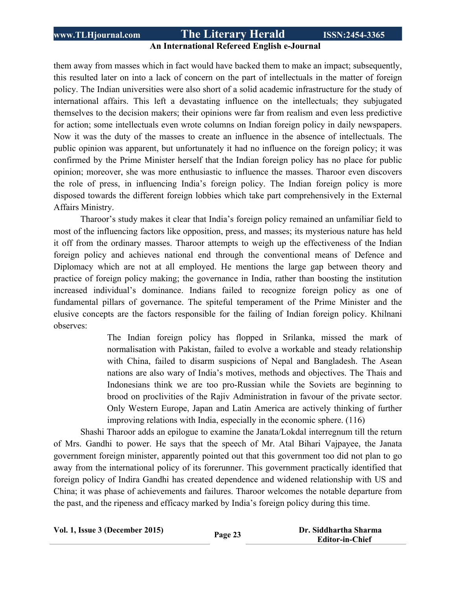#### **An International Refereed English e-Journal**

them away from masses which in fact would have backed them to make an impact; subsequently, this resulted later on into a lack of concern on the part of intellectuals in the matter of foreign policy. The Indian universities were also short of a solid academic infrastructure for the study of international affairs. This left a devastating influence on the intellectuals; they subjugated themselves to the decision makers; their opinions were far from realism and even less predictive for action; some intellectuals even wrote columns on Indian foreign policy in daily newspapers. Now it was the duty of the masses to create an influence in the absence of intellectuals. The public opinion was apparent, but unfortunately it had no influence on the foreign policy; it was confirmed by the Prime Minister herself that the Indian foreign policy has no place for public opinion; moreover, she was more enthusiastic to influence the masses. Tharoor even discovers the role of press, in influencing India's foreign policy. The Indian foreign policy is more disposed towards the different foreign lobbies which take part comprehensively in the External Affairs Ministry.

Tharoor's study makes it clear that India's foreign policy remained an unfamiliar field to most of the influencing factors like opposition, press, and masses; its mysterious nature has held it off from the ordinary masses. Tharoor attempts to weigh up the effectiveness of the Indian foreign policy and achieves national end through the conventional means of Defence and Diplomacy which are not at all employed. He mentions the large gap between theory and practice of foreign policy making; the governance in India, rather than boosting the institution increased individual's dominance. Indians failed to recognize foreign policy as one of fundamental pillars of governance. The spiteful temperament of the Prime Minister and the elusive concepts are the factors responsible for the failing of Indian foreign policy. Khilnani observes:

> The Indian foreign policy has flopped in Srilanka, missed the mark of normalisation with Pakistan, failed to evolve a workable and steady relationship with China, failed to disarm suspicions of Nepal and Bangladesh. The Asean nations are also wary of India's motives, methods and objectives. The Thais and Indonesians think we are too pro-Russian while the Soviets are beginning to brood on proclivities of the Rajiv Administration in favour of the private sector. Only Western Europe, Japan and Latin America are actively thinking of further improving relations with India, especially in the economic sphere. (116)

Shashi Tharoor adds an epilogue to examine the Janata/Lokdal interregnum till the return of Mrs. Gandhi to power. He says that the speech of Mr. Atal Bihari Vajpayee, the Janata government foreign minister, apparently pointed out that this government too did not plan to go away from the international policy of its forerunner. This government practically identified that foreign policy of Indira Gandhi has created dependence and widened relationship with US and China; it was phase of achievements and failures. Tharoor welcomes the notable departure from the past, and the ripeness and efficacy marked by India's foreign policy during this time.

**Vol. 1, Issue <sup>3</sup> (December 2015) Page <sup>23</sup> Dr. Siddhartha Sharma**

 **Editor-in-Chief**